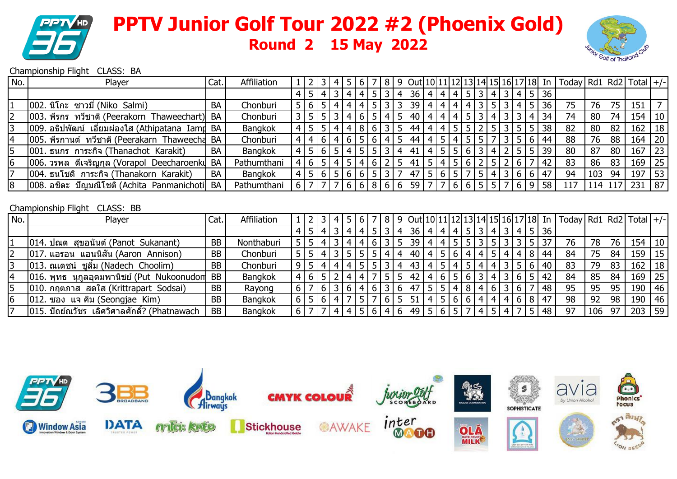



Championship Flight CLASS: BA

| No.            | Player                                            | Cat.      | Affiliation    |   |         | $\overline{3}$ | $\overline{4}$ |                | 56                        |                |                |                 | 8 9 0ut 10 11 12 13 14 15 16 17 18 In            |                 |                 |                 |                 |                |                |     |   |                |    |     | Today   Rd1   Rd2   Total $ +/- $ |           |     |                       |
|----------------|---------------------------------------------------|-----------|----------------|---|---------|----------------|----------------|----------------|---------------------------|----------------|----------------|-----------------|--------------------------------------------------|-----------------|-----------------|-----------------|-----------------|----------------|----------------|-----|---|----------------|----|-----|-----------------------------------|-----------|-----|-----------------------|
|                |                                                   |           |                |   |         |                |                |                | 4 5 4 3 4 4 5             |                |                | 3 4             | 36                                               | 4 <sup>1</sup>  | $\vert 4 \vert$ | $\overline{4}$  |                 | 5 3            | 4 I            | 3   | 4 | 5 <sup>1</sup> | 36 |     |                                   |           |     |                       |
|                | 002. นิโกะ  ซาวมี (Niko  Salmi)                   | <b>BA</b> | Chonburi       |   | 6       | $5^{\circ}$    | 4              | $\overline{4}$ | 4                         | 5              | 3              | $\overline{3}$  | 39                                               | 4               | $\overline{4}$  | $\overline{4}$  | $\overline{4}$  | 3              | 5              |     | 4 | 5              | 36 | 75  | 76                                | 75        | 151 | $\overline{7}$        |
|                | 003. พีรกร ทวีชาติ (Peerakorn Thaweechart)        | <b>BA</b> | Chonburi       | 3 | 5       | 5 <sub>1</sub> | $\overline{3}$ | $\overline{4}$ | $6 \mid$                  | 5              | 4              | l 5             | 40                                               | 4               | 4               | $\overline{4}$  | 5 <sup>1</sup>  | 3              | 4              | 3   |   | $\overline{4}$ | 34 | 74  | 80                                | 74        | 154 | 10 <sup>1</sup>       |
| 3              | 009. อธิปพัฒน์  เอี่ยมผ่องใส (Athipatana  Iamd BA |           | <b>Bangkok</b> |   | 4 5     | 5 <sub>l</sub> | $\overline{4}$ | $\overline{4}$ |                           | 8 6            |                | 3 5             | 44                                               | $\overline{4}$  | $\overline{4}$  | 5 <sup>5</sup>  | 5 <sup>1</sup>  | $\overline{2}$ | 5 <sub>1</sub> | 3   | 5 | 5              | 38 | 82  | 80                                | 82        | 162 | 18                    |
|                | 005. พีรกานต์ ทวีชาติ (Peerakarn Thaweecha BA     |           | Chonburi       |   | 4 4     | $6 \mid$       |                |                | 4 6 5 6                   |                |                | $4 \mid 5$      | 44                                               | $\overline{4}$  | $5\overline{)}$ | $\overline{4}$  | 5 <sup>1</sup>  | 5 <sup>1</sup> |                | 3   | 5 | 6              | 44 | 88  | 76                                | 88        | 164 | 20                    |
|                | 001. ธนกร การะกิจ (Thanachot Karakit)             | <b>BA</b> | <b>Bangkok</b> |   | 4 5     | $6 \mid$       |                | 5 4            |                           | 5 5 3 4        |                |                 | 41                                               | $\vert 4 \vert$ | 5 <sup>1</sup>  | 5 <sup>1</sup>  | 6               | $\overline{3}$ | 4              |     | 5 | 5              | 39 | 80  | 87                                | 80        | 167 | 23                    |
| 6              | 006. วรพล  ดีเจริญกุล (Vorapol  Deecharoenkปุ     | BA        | Pathumthani    |   | 4 6     | $5^{\circ}$    | $\overline{4}$ | $5^{\circ}$    | 4 <sup>1</sup>            | 6              |                | 5               | 41                                               | 5               | $\overline{4}$  | 5               | 6               | $\overline{2}$ | 5              |     | 6 |                | 42 | 83  | 86                                | 83        | 169 | 25                    |
|                | 004. ธนโชติ การะกิจ (Thanakorn Karakit)           | <b>BA</b> | <b>Bangkok</b> |   | 4 5     | 6 <sup>1</sup> |                |                | $5 6 6 $                  | 5 <sup>1</sup> | 3              | $\overline{17}$ | 47                                               | 5 <sup>5</sup>  | 6               | 5 <sub>1</sub>  |                 | 5 <sup>1</sup> | 4              | 3   | 6 | 6              | 47 | 94  | 103                               | 94        | 197 | 53                    |
| $\overline{8}$ | 008. อชิตะ ปัญมณีโชติ (Achita Panmanichoti) BA    |           | Pathumthani    |   | 6 7     | l 7            |                |                | 6 6 8                     |                | 6 <sup>1</sup> | 6               | 59                                               | $\overline{7}$  | $\overline{7}$  | 6 <sup>1</sup>  | $6 \mid$        | 5 <sup>1</sup> | 5 <sup>1</sup> |     | 6 | 9              | 58 | 117 |                                   | $114$ 117 | 231 | 87                    |
|                |                                                   |           |                |   |         |                |                |                |                           |                |                |                 |                                                  |                 |                 |                 |                 |                |                |     |   |                |    |     |                                   |           |     |                       |
|                | Championship Flight CLASS: BB                     |           |                |   |         |                |                |                |                           |                |                |                 |                                                  |                 |                 |                 |                 |                |                |     |   |                |    |     |                                   |           |     |                       |
| No.            | Player                                            | Cat.      | Affiliation    |   |         | $\overline{3}$ | 4              | 5 <sub>1</sub> | 6                         |                |                | 8 9             | Out   10   11   12   13   14   15   16   17   18 |                 |                 |                 |                 |                |                |     |   |                | In |     | Today   Rd1   Rd2   Total   +/-   |           |     |                       |
|                |                                                   |           |                |   | 4 5     |                |                |                | 4   3   4   4   5   3   4 |                |                |                 | 36                                               | $4 \mid$        | $\vert 4 \vert$ | $\vert 4 \vert$ |                 | 5 3            |                | 4 3 | 4 | 5              | 36 |     |                                   |           |     |                       |
|                | 014. ปณต สุขอนันต์ (Panot Sukanant)               | <b>BB</b> | Nonthaburi     |   | 5 5     | $\overline{4}$ | $\overline{3}$ | $\overline{4}$ | 4 <sup>1</sup>            | 6              | 3              | $\overline{5}$  | 39                                               | $\overline{4}$  | $\overline{4}$  | 5 <sup>5</sup>  | 5 <sup>1</sup>  | 3              | 5 <sub>1</sub> | 3   |   | 5              | 37 | 76  | 78                                | 76        | 154 |                       |
|                | 017. แอรอน  แอนนิสัน (Aaron  Annison)             | <b>BB</b> | Chonburi       |   | 5 5     | 4              |                | 3 5            |                           | 5 5            | 4              | l 4             | 40                                               | 4               | $5\overline{)}$ | 6               | $\vert 4 \vert$ | 4 I            | 5              | 4   | 4 | 8              | 44 | 84  | 75                                | 84        | 159 | 15                    |
| $\overline{3}$ | 013. ณเดชน์ ชูลิ้ม (Nadech Choolim)               | <b>BB</b> | Chonburi       |   | $9$   5 | $\overline{4}$ | 4              | 4              | 5 <sub>1</sub>            | 5              | 3              | $\overline{4}$  | 43                                               | 4               | 5               | 4               | 5.              |                |                |     |   | 6              | 40 | 83  | 79                                | 83        | 162 | 18                    |
| $\overline{4}$ | 016. พุทธ  นุกูลอุดมพานิชย์ (Put  Nukoonudom      | <b>BB</b> | <b>Bangkok</b> |   | 4 6     | -5             | $\overline{2}$ | 4              | 4                         |                |                | 5 5             | 42                                               | 4               | 6               | 5 <sup>5</sup>  | $6 \mid$        | 3              | 4              | 3   | 6 | 5              | 42 | 84  | 85                                | 84        | 169 | 25                    |
| 5              | 010. กฤตภาส สดใส (Krittrapart Sodsai)             | <b>BB</b> | Rayong         |   | 6 7     | $6 \mid$       |                | 3 6            |                           | 4 6            |                | 3 6             | 47                                               | 5 <sup>5</sup>  | $5\overline{)}$ | 4               | 8 <sup>1</sup>  | 4 <sup>1</sup> | 161            | 3   | 6 | $\overline{7}$ | 48 | 95  | 95                                | 95        | 190 | 10 <sup>1</sup><br>46 |
| 6              | 012. ซอง แจ คิม (Seongjae Kim)                    | <b>BB</b> | <b>Bangkok</b> |   | 6 5     | $6 \mid$       | $\overline{4}$ | $\overline{7}$ | 5 <sup>1</sup>            |                |                | $6 \mid 5$      | 51                                               | $\overline{4}$  | 5 <sup>1</sup>  | $6 \mid$        | $6 \mid$        | 4              | 4 I            | 4   | 6 | 8              | 47 | 98  | 92                                | 98        | 190 | 46                    |

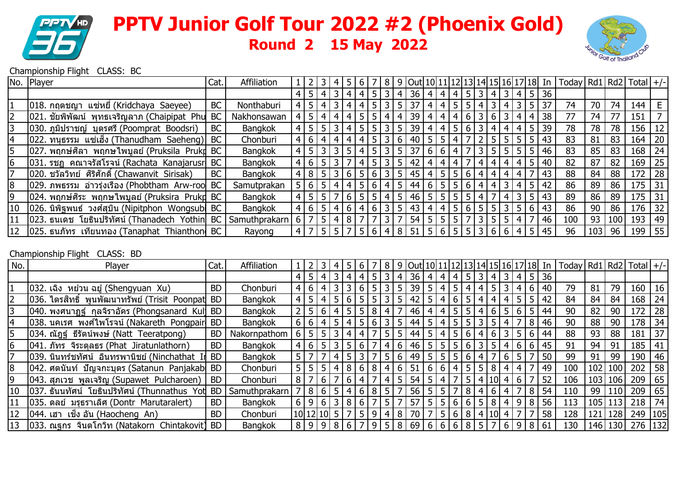



#### Championship Flight CLASS: BC

|    | No. Player                                                    | Cat. | Affiliation |             |                 |                |                                |                |                |                |                | $9$  Out 10 11 12 13 14 15 16 17 18  In |                |                 |                |                |     |        |   |     |                 |      | $\vert$ Today   Rd1   Rd2   Total   +/- |                  |     |            |           |
|----|---------------------------------------------------------------|------|-------------|-------------|-----------------|----------------|--------------------------------|----------------|----------------|----------------|----------------|-----------------------------------------|----------------|-----------------|----------------|----------------|-----|--------|---|-----|-----------------|------|-----------------------------------------|------------------|-----|------------|-----------|
|    |                                                               |      |             | 4 5 4       |                 | $\overline{3}$ | 4                              | 4 I            | 5 <sup>1</sup> |                | 4              | 36 <sub>1</sub>                         |                | $4 \mid 4 \mid$ | -4             | 513            |     | 4   3  |   | 4   | 15 <sup>1</sup> | 36 I |                                         |                  |     |            |           |
|    | 018. กฤตชญา แซ่หยี่ (Kridchaya Saeyee)                        | BC   | Nonthaburi  | 4 5         | $\vert 4 \vert$ | $\overline{3}$ | 4                              | 4              | 5              |                |                | 37                                      | 4              | $-4$            | $-5$           | 5 <sub>l</sub> |     |        |   |     | 5               | 37   | 74                                      | 70               | 74  | 144        | E         |
|    | 021. ชัยพิพัฒน์ พุทธเจริญลาภ (Chaipipat Phu BC                |      | Nakhonsawan | 4 5         | $\overline{4}$  | $\overline{4}$ | 4                              | 5 <sup>1</sup> | $5 \mid$       | 4 <sup>1</sup> | $\overline{4}$ | 39                                      | $\overline{4}$ | 4               | 4              | <sup>6</sup>   |     | 3 6    |   | 4   | $\overline{4}$  | 38   | 77                                      | 74               |     | 151        |           |
|    | 030. ภูมิปราชญ์ บุตรศรี (Poomprat Boodsri)                    | BC   | Bangkok     | $4$   5   5 |                 | $\overline{3}$ |                                | 5 I            | 5 <sub>l</sub> |                | 5              | 39                                      | -4 I           | 4               |                | 5 6 3          |     | , 1414 |   |     | 5 <sup>5</sup>  | 39   | 78                                      | 78               | 78  | 156        | 12        |
|    | 022. ทนุธรรม แซ่เฮ็ง (Thanudham Saeheng)  BC                  |      | Chonburi    | 4 6         | l 4 l           | 4 I            | 4                              | 4 I            | 5 <sup>1</sup> | $\overline{3}$ | 6              | $40$   5   5                            |                |                 | -4             |                |     | 55     |   |     | 5               | 43   | 83                                      | 81               | 83  | 164        | <b>20</b> |
| 15 | $ 027.$ พฤกษ์ศิลา พฤกษไพบูลย์ (Pruksila Prukr BC              |      | Bangkok     | $4$   5   3 |                 | $\overline{3}$ | 5 <sub>l</sub>                 | 4 I            | 5 <sup>1</sup> |                | 3 5            | 37                                      |                | $6 6 $          | $\overline{4}$ |                |     | 3 5    |   | 5   | $5^{\circ}$     | 46   | 83                                      | 85               | 83  | $168$   24 |           |
| 16 | 031. รชฎ คณาจรัสโรจน์ (Rachata Kanajarusr BC                  |      | Bangkok     | 4 6 5       |                 | - 3 I          |                                | 4 I            | $5 \mid$       | 3 I            | -5             | 42                                      |                | 4   4           | -4             |                | 4 I | 1414   |   |     | $5^{\circ}$     | 40   | 82                                      | 87               | 82  | 169        | 25        |
|    | 020. ชวัลวิทย์ ศิริศักดิ์ (Chawanvit Sirisak)                 | BC   | Bangkok     | 4 8 5       |                 | $\mathbf{3}$   |                                |                | <sup>6</sup>   |                | 5              | 45                                      | 4              | 5 <sub>1</sub>  |                | 6 <sup>1</sup> |     |        |   |     |                 | 43   | 88                                      | 84               | 88  | $172$   28 |           |
| 18 | 029. ภพธรรม อ่าวรุ่งเรือง (Phobtham Arw-roo BC                |      | Samutprakan | 5 6 5       |                 | $-4$           | 4 I                            |                |                | 5 6 4 5        |                | 44   6   5   5   6   4   4   3          |                |                 |                |                |     |        |   | 4 I | l 5 l           | 42   | 86                                      | 89               | 86  | $175$ 31   |           |
| 19 | 024. พฤกษ์ศิระ  พฤกษไพบูลย์ (Pruksira  Prukp BC               |      | Bangkok     | 4 5 5       |                 |                | $-6$ <sup><math>+</math></sup> | 5 <sub>1</sub> | 5 <sup>1</sup> | $4 \mid 5$     |                | 46 I                                    |                | 5 5             | 5 <sub>1</sub> | -5 I           | 417 |        | 4 |     | 5 <sup>1</sup>  | -43  | 89                                      | 86               | 89  | $175$ 31   |           |
| 10 | 026. นิพิฐพนธ์ วงศ์สุบิน (Nipitphon Wongsubi BC               |      | Bangkok     | 4 6 5       |                 | $\overline{4}$ | 6                              | 4 <sup>1</sup> | $6 \mid$       | $\overline{3}$ | 5              | 43                                      | 4              | $\overline{4}$  |                | 5 6 5 5        |     |        |   |     | 6               | 43   | 86                                      | 90               | 86  | $176$ 32   |           |
| 11 | 023. ธนเดช โยธินปริทัศน์ (Thanadech Yothin BC   Samuthprakarn |      |             | 6 7 5       |                 | 4 I            | 8 <sup>1</sup>                 |                |                | 3 I            |                | $54$   5  5  5                          |                |                 |                |                | 3   | 155    |   | 4   | 7               | 46   | 100                                     | 93               | 100 | 193        | 49        |
| 12 | 025. ธนภัทร เทียนทอง (Tanaphat Thianthon BC                   |      | Rayong      |             | 5 <sup>1</sup>  | 5              |                                |                |                |                |                | -51                                     |                | $6 \mid$        |                |                |     |        |   |     | 5 <sup>°</sup>  | 45   | 96                                      | 103 <sub>1</sub> | 96  | $199$ 55   |           |

### Championship Flight CLASS: BD

| No. | Player                                               | Cat.      | Affiliation    |          |                |                |          |     |                 |                |                |                 |                |                |                 |                |          |       |                         |                |                |             | Out 10 11 12 13 14 15 16 17 18  In   Today   Rd1   Rd2   Total   +/- |                  |       |     |           |
|-----|------------------------------------------------------|-----------|----------------|----------|----------------|----------------|----------|-----|-----------------|----------------|----------------|-----------------|----------------|----------------|-----------------|----------------|----------|-------|-------------------------|----------------|----------------|-------------|----------------------------------------------------------------------|------------------|-------|-----|-----------|
|     |                                                      |           |                | 4 5 4    |                | $\overline{3}$ | 4        |     |                 |                | 4 I            | 36 <sub>1</sub> | 4 I            | 4 I            | -4 I            | 5 <sup>1</sup> |          | 4     | $\overline{\mathbf{3}}$ | -4 I           |                | 5 36        |                                                                      |                  |       |     |           |
|     | 032. เฉิง  หย่วน ฉยู่ (Shengyuan  Xu)                | <b>BD</b> | Chonburi       | 4 6      | $\overline{4}$ |                |          |     |                 |                | 5              | 39              | 5              | $\overline{4}$ | 5               | 4              |          |       |                         |                |                | 40          | 79                                                                   | 81               | 79    | 160 | 16        |
|     | ่ 036. ใตรสิทธิ์  พูนพัฒนาทรัพย์ (Trisit  Poonpat BD |           | <b>Bangkok</b> | 4 5 4    |                | - 5 I          | - 6 I    |     | 5               | $\overline{3}$ | $5 \mid$       | 42              | 5 <sub>1</sub> | -4 I           | 16 <sup>1</sup> | 5 <sub>l</sub> | 4        | 4     | 4                       | 5              |                | 42          | 84                                                                   | 84               | 84    | 168 | 24        |
|     | 040. พงศนาฏฐ์  กุลจิราอัคร (Phongsanard  Kul¦ BD     |           | Bangkok        | 2 5 6    |                | 4 <sup>1</sup> | $5 \mid$ |     | 5 8             | ا 4 ا          | $\overline{7}$ | 46 I            | 4 <sup>1</sup> | 4 <sup>1</sup> | 5 <sub>l</sub>  | 5 4            |          | .6'   | 5 <sup>1</sup>          | 6 <sup>1</sup> | 5 <sub>l</sub> | 44          | 90                                                                   | 82               | 90    | 172 | 28        |
|     | 038. นคเรศ  พงศ์ไพโรจน์ (Nakareth  Pongpair  BD      |           | <b>Bangkok</b> | 6 6 4    |                | 5 <sub>1</sub> |          |     | $6 3 $          |                | 5              | 44 I            | $5 \mid$       | -4 I           | 5 <sub>1</sub>  |                |          |       | 4                       |                |                | -46         | 90                                                                   | 88               | 90    | 178 | 34        |
|     | 034. ณัฏฐ์ ธีรัตน์พงษ์ (Natt Teeratpong)             | <b>BD</b> | Nakornpathom   | $6 5 5 $ |                | $\overline{3}$ | -4 I     | -4  |                 |                | 5 5            | 44 I            | 5 <sub>1</sub> | 4 5            |                 | $6 \mid$       | 4        | -6    | $\overline{3}$          | - 5 I          | 6 I            | 44          | 88                                                                   | 93               | 88    | 181 | 37        |
| 16  | 041. ภัทร จิระตุลธร (Phat Jiratunlathorn)            | <b>BD</b> | <b>Bangkok</b> | 4 6 5    |                |                | 3 5      | 6   |                 |                | 4 6            | 46 I            |                | 5 5 5          |                 |                | 61315    |       | $\vert 4 \vert$         | $6 \mid$       |                | $6 \mid 45$ | 91                                                                   | 94               | -91   | 185 | -41       |
|     | 039. นินทร์ชทัศน์  อินทรพานิชย์ (Ninchathat          | BD        | Bangkok        | 5 7 7    |                | 4 <sup>1</sup> | $5 \mid$ |     |                 |                | 561            | 49 l            |                | 5 5 5          |                 | $6 \mid$       | -4       |       | 6                       | $5 \mid$       |                | 50          | 99                                                                   | 91               | 99    | 190 | 46        |
| 18  | 042. ศตนันท์  ปัญจกะบุตร (Satanun  Panjakab  BD      |           | Chonburi       | 5 5 5    |                | 4 I            | 8        | 6   | 8               | l 4 l          | $6 \mid$       | 51 <sup>1</sup> | <sup>6</sup>   | $6 \mid$       | <sup>4</sup>    |                |          | 8     | 4                       | 4              |                | 49          | 100                                                                  | 1021             | 100   | 202 | 58        |
| 19  | 043. สุภเวช  พูลเจริญ (Supawet  Pulcharoen)          | <b>BD</b> | Chonburi       | 8 7 6 1  |                |                | -6 I     | 417 |                 | <sup>4</sup>   | 5              | 54              | 5 <sub>1</sub> | 4 I            |                 |                | 5 4 10 4 |       |                         | - 6 I          |                | 52          | 106                                                                  | 103 <sub>l</sub> | 106 I | 209 | 65        |
| 10  | 037. ธันนทัศน์ โยธินปริทัศน์ (Thunnathus Yot BD      |           | Samuthprakarn  | 8 6      |                | 5 <sub>1</sub> | 4        | 6   | 8               | 5              |                | 56              | 5 <sup>1</sup> | 5 <sub>l</sub> |                 | 8 <sup>1</sup> | 4        | 6     | 4                       |                | 8 <sup>1</sup> | 54          | 110                                                                  | 99               | 110   | 209 | 65        |
| 11  | 035. ดลย์ มรุธราเลิศ (Dontr Marutaralert)            | <b>BD</b> | <b>Bangkok</b> | 696      |                | $\overline{3}$ | - 8 I    | 6   |                 | 5              | $\overline{7}$ | 57              | - 5 I          | 5 6            |                 | -6 I           | 5        | 8     | 4                       | -9             | -8 I           | 56          | 113                                                                  | 105 l            | 1131  | 218 | 74        |
| 12  | $ 044$ . เฮา เช็ง อัน (Haocheng An)                  | <b>BD</b> | Chonburi       | 10 12 10 |                |                |          |     | q               | 4              | 8              | 70              |                | 5 <sup>1</sup> | 6               | -8 I           | 4        | l 10I |                         |                |                | 58          | 128                                                                  | 121              | 128   | 249 | 105       |
| 13  | 033. ณุฐกร จินตโกวิท (Natakorn Chintakovit) BD       |           | <b>Bangkok</b> | 899      |                | 8 I            |          |     | 19 <sup>°</sup> |                | 8 <sup>1</sup> | -69 I           |                | -6 I           | 6'              |                |          |       | 6                       |                |                | -61         | 130                                                                  | 146 I            |       |     | 276   132 |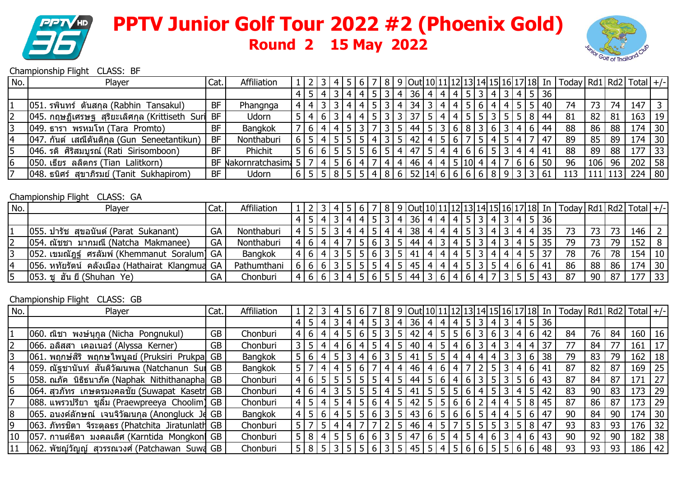



#### Championship Flight CLASS: BF

| No.             | Player                                              | Cat.      | Affiliation     |                | $\overline{2}$  | 3               | 4              | 5               | $6 \mid$        | 7               |                |                    |                                |                 |                 |                 |                |                        |                |                |                 |                 | 8 9 Out 10 11 12 13 14 15 16 17 18 In | $\text{Total}$ Rd1 Rd2 Total +/- |     |     |             |                 |
|-----------------|-----------------------------------------------------|-----------|-----------------|----------------|-----------------|-----------------|----------------|-----------------|-----------------|-----------------|----------------|--------------------|--------------------------------|-----------------|-----------------|-----------------|----------------|------------------------|----------------|----------------|-----------------|-----------------|---------------------------------------|----------------------------------|-----|-----|-------------|-----------------|
|                 |                                                     |           |                 |                | 5               |                 |                |                 | $\overline{4}$  | 5               | 3              |                    | 36                             |                 | 4               |                 | 5              | 3                      |                | 3              |                 | 5               | 36                                    |                                  |     |     |             |                 |
| $\overline{1}$  | 051. รพินทร์  ตันสกุล (Rabhin  Tansakul)            | <b>BF</b> | Phangnga        | $\overline{4}$ | $\overline{4}$  | $\overline{3}$  | $\mathbf{3}$   | $\overline{4}$  | 4 <sup>1</sup>  | $5 \mid$        | $\mathbf{3}$   | $\overline{4}$     | 34                             | $\mathsf{3}$    | $\overline{4}$  | $\overline{4}$  | 5 <sup>1</sup> | 6                      | 4 <sup>1</sup> | $\overline{4}$ | 5               | 5               | 40                                    | 74                               | 73  | 74  | 147         | $\overline{3}$  |
| $\overline{c}$  | 045. กฤษฏิเศรษฐ  สุริยะเลิศกุล (Krittiseth  Suri    | <b>BF</b> | Udorn           | 5              | $\vert 4 \vert$ | 6               | $\mathsf{3}$   | $\overline{4}$  |                 | 4 5             |                | $\overline{3}$   3 | $\overline{37}$                | $\overline{5}$  | $\overline{4}$  | $\overline{4}$  |                | $5 \mid 5 \mid 3 \mid$ |                | 5              | $5\overline{5}$ | 8               | 44                                    | 81                               | 82  | 81  | 163         | 19              |
| $\overline{3}$  | 049. ธารา พรหมโท (Tara Promto)                      | <b>BF</b> | Bangkok         |                | $6\phantom{1}$  | $\overline{4}$  | $\overline{4}$ | 5 <sup>1</sup>  | 3 <sup>1</sup>  | $\overline{7}$  |                | $\overline{3}$   5 | 44                             | $\overline{5}$  | $\overline{3}$  | $6\overline{6}$ | 8 <sup>1</sup> | 3                      | $6 \mid 3$     |                | $\overline{4}$  | 6               | 44                                    | 88                               | 86  | 88  | 174         | $\vert$ 30      |
| $\overline{4}$  | 047. กันต์ เสณีตันติกุล (Gun Seneetantikun)         | <b>BF</b> | Nonthaburi      | 6              | (5)             | $\overline{4}$  | 5 <sup>1</sup> | 5               | 5 <sup>1</sup>  | $\overline{4}$  | 3              | 5                  | 42                             | $\overline{4}$  | 5               | 6               | 7              | 5 <sup>1</sup>         | 4 <sup>1</sup> | 5              | 4               |                 | 47                                    | 89                               | 85  | 89  | 174         | 30              |
| 5               | 046. รติ ศิริสมบูรณ์ (Rati Sirisomboon)             | <b>BF</b> | Phichit         | 5 <sup>1</sup> | 6               | $6\overline{6}$ | 5 <sup>1</sup> | 5               | 5 <sup>1</sup>  | 6               | 5              | 4                  | 47                             | 5               | $\overline{4}$  | $\overline{4}$  | 6              | $6 \mid$               | 5 <sup>1</sup> | 3              | 4               | $\overline{4}$  | 41                                    | 88                               | 89  | 88  | 177         | 33              |
| 6               | 050. เธียร ลลิตกร (Tian Lalitkorn)                  | <b>BF</b> | Nakornratchasim | 5 <sup>1</sup> | $\overline{7}$  | $\overline{4}$  | 5 <sup>1</sup> | $6 \mid$        | 4               | $\overline{7}$  |                | 4 4                | 46                             | $\overline{4}$  | $\overline{4}$  |                 | 5 10           | 4 <sup>1</sup>         | $\overline{4}$ |                | 6               | 6               | 50                                    | 96                               | 106 | 96  | 202         | 58              |
| $\overline{7}$  | 048. ธนิศร์ สุขาภิรมย์ (Tanit Sukhapirom)           | <b>BF</b> | Udorn           |                | 6 5             | 5 <sup>1</sup>  |                | 8 5             |                 | 5 4             |                | 8 6                |                                | 52 14           | (6)             | $6\overline{6}$ |                | 6 6                    | 8 9            |                | $\overline{3}$  | $\overline{3}$  | 61                                    | 113                              | 111 | 113 | 224   80    |                 |
|                 | Championship Flight CLASS: GA                       |           |                 |                |                 |                 |                |                 |                 |                 |                |                    |                                |                 |                 |                 |                |                        |                |                |                 |                 |                                       |                                  |     |     |             |                 |
| No.             | Player                                              | Cat.      | Affiliation     |                |                 | 3               |                | 5               | 6               |                 | 8              | l 9                | $\vert$ Out $\vert$ 10 $\vert$ |                 |                 |                 |                |                        |                |                |                 | 18              | In                                    | Today   Rd1   Rd2                |     |     | Total $+/-$ |                 |
|                 |                                                     |           |                 | $\overline{4}$ | 5               | $\overline{4}$  | $\overline{3}$ | $\overline{4}$  | $\vert 4 \vert$ | 5               | 3              | $\overline{4}$     | 36                             | $\overline{4}$  | $\overline{4}$  | $\overline{4}$  | 5              | 3                      | $\overline{4}$ | 3              | $\overline{4}$  | 5               | 36                                    |                                  |     |     |             |                 |
| $\mathbf{1}$    | 055. ปารัช สุขอนันต์ (Parat Sukanant)               | GA        | Nonthaburi      | 4              | $5\overline{5}$ | 5               | 3              | 4               | 4 <sup>1</sup>  | 5               | 4              | 4                  | 38                             | $\overline{4}$  | 4               | 4               | 5              | 3                      | 4              | 3              | 4               | 4               | 35                                    | 73                               | 73  | 73  | 146         | $\overline{2}$  |
| $\overline{2}$  | 054. ณัชชา มากมณี (Natcha Makmanee)                 | GA        | Nonthaburi      | $\overline{4}$ | 6               | $\overline{4}$  | $\overline{4}$ | 7               | 5 <sup>1</sup>  | $6 \mid$        |                | 3 5                | 44                             | $\overline{4}$  | $\overline{3}$  | $\overline{4}$  | 5 <sup>1</sup> | 3                      | 4 <sup>1</sup> | 3              | $\overline{4}$  | 5               | 35                                    | 79                               | 73  | 79  | 152         | 8               |
| اس              | 052. เขมณัฎฐ์  ศรลัมพ์ (Khemmanut  Soralum)         | GA        | <b>Bangkok</b>  | 4 <sup>1</sup> | 6               | $\overline{4}$  | 3 <sup>1</sup> | $5\overline{)}$ | 5 <sup>1</sup>  | $\overline{6}$  |                | 3 5                | 41                             | $\overline{4}$  | $\overline{4}$  | $\overline{4}$  | 5 <sup>1</sup> | 3 <sup>1</sup>         | 4 <sup>1</sup> | 4              | 4               | 5               | 37                                    | 78                               | 76  | 78  | 154         | $\vert$ 10      |
| $\overline{4}$  | 056. หทัยรัตน์  คลังเมือง (Hathairat  Klangmua      | GA        | Pathumthani     |                | 6 6             | 6               | 3 <sup>1</sup> | 5 <sup>1</sup>  |                 | 5 5             |                | 4 5                | 45                             | $\overline{4}$  | $\overline{4}$  | $\overline{4}$  | 5 <sup>1</sup> | 3 <sup>1</sup>         | 5 <sup>1</sup> | $\overline{4}$ | 6               | 6               | 41                                    | 86                               | 88  | 86  | 174         | $\vert$ 30      |
| $\overline{5}$  | 053. ชู ฮัน ยี (Shuhan Ye)                          | GA        | Chonburi        |                | 4 6             | $6 \mid$        | 3 <sup>1</sup> | $\overline{4}$  |                 |                 | 5 6 5 5        |                    | 44                             | $\overline{3}$  | $6\overline{6}$ | $\overline{4}$  | $6 \mid$       | 4 <sup>1</sup>         | 7              | 3              | $5\overline{5}$ | $5\overline{5}$ | 43                                    | 87                               | 90  | 87  | 177         | 33              |
|                 | Championship Flight CLASS: GB                       |           |                 |                |                 |                 |                |                 |                 |                 |                |                    |                                |                 |                 |                 |                |                        |                |                |                 |                 |                                       |                                  |     |     |             |                 |
| No.             | Player                                              | Cat.      | Affiliation     |                | 2               | 3               | 4              | 5               | 6               |                 | 8              | 9                  | Out                            | 10              |                 |                 |                | 14                     |                |                |                 | 15 16 17 18     | In                                    | Today   Rd1   Rd2                |     |     | Total $+/-$ |                 |
|                 |                                                     |           |                 | $\overline{4}$ | 5               | $\overline{4}$  | 3              | $\overline{4}$  | 4 <sup>1</sup>  | 5               | 3              | 4                  | 36                             | $\overline{4}$  | 4               | 4               | 5 <sup>1</sup> | 3                      | 4              | 3              | 4               | 5               | 36                                    |                                  |     |     |             |                 |
|                 | 060. ณิชา พงษ์นุกูล (Nicha Pongnukul)               | <b>GB</b> | Chonburi        |                | 6               | $\overline{4}$  | $\overline{4}$ | 5               | 6               | $\overline{5}$  |                | 3 5                | 42                             | $\overline{4}$  | $\overline{5}$  | $5\phantom{.}$  | 6              | 3 <sup>1</sup>         | 6 <sup>1</sup> | 3              | $\overline{4}$  | $6\,$           | 42                                    | 84                               | 76  | 84  | 160         | 16              |
| 2               | 066. อลิสสา เคอเนอร์ (Alyssa Kerner)                | <b>GB</b> | Chonburi        | $\overline{3}$ | $\sqrt{5}$      | $\overline{4}$  | $\overline{4}$ | 6               | 4               | 5 <sup>1</sup>  | 4 <sub>1</sub> | 5                  | 40                             | $\overline{4}$  | $5\overline{)}$ | $\overline{4}$  | $6 \mid$       | $\mathsf{3}$           | 4 <sup>1</sup> | 3              | $\overline{4}$  | $\overline{4}$  | 37                                    | $\overline{77}$                  | 84  | 77  | 161         | $\vert$ 17      |
| اس              | 061. พฤกษ์สิริ พฤกษไพบูลย์ (Pruksiri Prukpal GB     |           | Bangkok         | 5              | 6               | $\overline{4}$  | 5 <sup>5</sup> | 3               | 4 <sup>1</sup>  | 6               | 3              | 5                  | 41                             | 5               | 5               | 4               | 4              | $\overline{4}$         | $\overline{4}$ | 3              | 3               | 6               | 38                                    | 79                               | 83  | 79  | 162         | 18              |
| $\overline{4}$  | 059. ณัฐชานันท์ สันติวัฒนพล (Natchanun Sul GB       |           | <b>Bangkok</b>  |                | $5\overline{2}$ | $\overline{4}$  | $\overline{4}$ | 5               | 6 <sup>1</sup>  | 7               | 4              | $\overline{4}$     | 46                             | $\overline{4}$  | 6               | $\overline{4}$  |                | 2                      | 5 <sub>l</sub> | 3              | 4               | 6               | 41                                    | 87                               | 82  | 87  | 169         | 25              |
| $\overline{5}$  | 058. ณภัค  นิธิธนาภัค (Naphak  Nithithanapha  GB    |           | Chonburi        | 4 <sup>1</sup> | (6)             | $5\overline{)}$ | 5 <sup>1</sup> | $5\overline{)}$ |                 | 5 5             | $\overline{4}$ | $\vert$ 5          | 44                             | $5\phantom{.0}$ | 6               | $\overline{4}$  | 6              | 3 <sup>1</sup>         | 5 <sup>1</sup> | 3              | 5               | 6               | 43                                    | 87                               | 84  | 87  | 171         | $\overline{27}$ |
| $6\overline{6}$ | 064. สุวภัทร เกษตรมงคลชัย (Suwapat Kasetr GB        |           | Chonburi        | 4              | 6               | $\overline{4}$  | $\mathbf{3}$   | $5\overline{)}$ | 5 <sup>1</sup>  | $\overline{.5}$ | $\overline{4}$ | 5                  | 41                             | 5               | 5               | $5\overline{)}$ | 6              | $\overline{4}$         | 5 <sup>1</sup> | 3              | $\overline{4}$  | 5               | 42                                    | 83                               | 90  | 83  | 173         | 29              |
| $\overline{7}$  | 088. แพรวปรียา ชูลิ้ม (Praewpreeya Choolim) GB      |           | Chonburi        | 4              | (5)             | $\overline{4}$  | 5              | 4               | 5 <sup>1</sup>  | 6               | 4              | 5                  | 42                             | 5               | 5 <sup>5</sup>  | 6               | 6              | $\overline{2}$         | 4 <sup>1</sup> | 4              | 5               | 8               | 45                                    | 87                               | 86  | 87  | 173         | 29              |
| 18              | 065. อนงค์ลักษณ์  เจนจิวัฒนกุล (Anongluck  Jd GB    |           | <b>Bangkok</b>  | 4 <sub>1</sub> | $\overline{15}$ | 6               | $\overline{4}$ | 5               | 5 <sup>1</sup>  | 6               | 3              | 5                  | 43                             | $6\overline{6}$ | 5               | 6               | 6              | 5 <sup>1</sup>         | $\overline{4}$ | $\overline{4}$ | 5               | 6               | 47                                    | 90                               | 84  | 90  | 174         | 30              |
| 9               | 063. ภัทรชิตา  จิระตุลธร (Phatchita  Jiratunlath GB |           | Chonburi        | 5              |                 | 5               | $\overline{4}$ | $\overline{4}$  | $\overline{7}$  | $\overline{7}$  | $\overline{2}$ | 5                  | 46                             | $\overline{4}$  | $5\overline{)}$ | $\overline{7}$  | 5 <sup>1</sup> | $\overline{.51}$       | 5 <sup>1</sup> | 3              | 5               | 8               | 47                                    | 93                               | 83  | 93  | 176         | $32$            |
| 10              | 057. กานต์ธิดา  มงคลเลิศ (Karntida  Mongkon  GB     |           | Chonburi        | 5 <sup>1</sup> | 8               | $\overline{4}$  | 5 <sup>1</sup> | $5\overline{)}$ | 6 <sup>1</sup>  | 6               | 3              | 5                  | 47                             | $6\phantom{1}$  | 5               | $\overline{4}$  | 5 <sup>1</sup> | $\overline{4}$         | 6 <sup>1</sup> | 3              | $\overline{4}$  | 6               | 43                                    | 90                               | 92  | 90  | 182         | 38              |
| 11              | 062. พัชญ์วัญญ์  สุวรรณวงศ์ (Patchawan  Suwa GB     |           | Chonburi        | 5 <sup>1</sup> | 8               | 5 <sup>5</sup>  | 3 <sup>1</sup> | $5\overline{)}$ |                 | 5 6             |                | 3 5                | 45                             | $5\overline{)}$ | $\overline{4}$  | $5\overline{)}$ | $6 \mid$       | $6 \mid$               | 5 5            |                | 6               | 6               | 48                                    | 93                               | 93  | 93  | $186$ 42    |                 |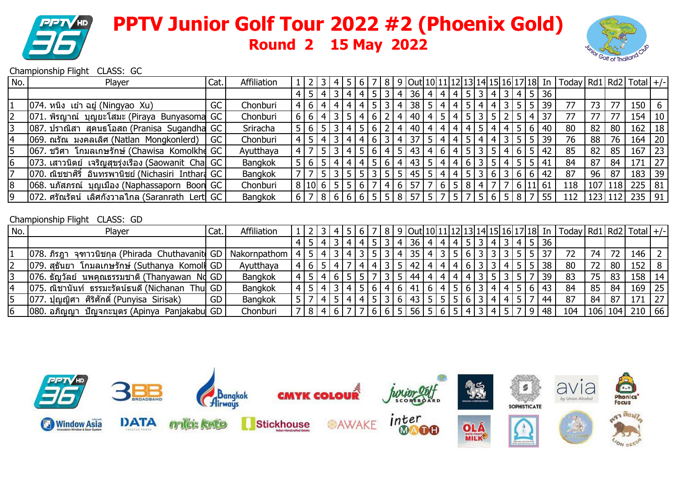



#### Championship Flight CLASS: GC

| No.            | Player                                               | Cat. | Affiliation    |       | $\overline{3}$ | 4'                      |                | <sup>6</sup>   |                |                |                |                 |                |                                |                |       |                |                |      |                |       |                         | 8   9  Out 10 11 12 13 14 15 16 17 18  In   Today   Rd1   Rd2   Total   +/- |    |           |               |            |
|----------------|------------------------------------------------------|------|----------------|-------|----------------|-------------------------|----------------|----------------|----------------|----------------|----------------|-----------------|----------------|--------------------------------|----------------|-------|----------------|----------------|------|----------------|-------|-------------------------|-----------------------------------------------------------------------------|----|-----------|---------------|------------|
|                |                                                      |      |                | 4 5   | $\overline{4}$ | 3 <sub>l</sub>          | $\overline{4}$ | 4 <sup>1</sup> | 5 <sup>1</sup> | $\overline{3}$ | 4              | 36              | $\overline{4}$ | $\vert 4 \vert$                | 4 <sup>1</sup> |       | 5 3            |                | 4 3  |                |       | $4 \mid 5 \mid 36 \mid$ |                                                                             |    |           |               |            |
|                | $ 074.$ หนิง เย๋า ฉยู่ (Ningyao Xu)                  | GC   | Chonburi       | 4 6 4 |                | $4 \mid$                | 4              | -4 I           | 5 <sub>l</sub> | 3 <sup>1</sup> | -4             | 38 <sup>1</sup> |                | 5 4                            | 4 <sup>1</sup> | 54    |                | 4 I            | 3    |                | 5 5   | 39                      | 77                                                                          | 73 | 77        | $150$ 6       |            |
| $\overline{2}$ | $ 071.$ พิรญาณ์ บุญยะโสมะ (Piraya Bunyasoma GC       |      | Chonburi       | 6 6 4 |                | $\overline{\mathbf{3}}$ | $5 \mid$       | <sup>4</sup>   | <sup>6</sup>   |                | 2 4            | 40              | 4 I            | $+5$ <sup><math>+</math></sup> | <sup>4</sup>   |       | 5 3            | 5 2            |      |                | 514   | 37                      | 77                                                                          | 77 |           | 154 10        |            |
| 3              | 087. ปราณิสา สุคนธโอสถ (Pranisa Sugandha GC          |      | Sriracha       | 5 6 5 |                | $\overline{\mathbf{3}}$ | 4              |                | 5 6            |                | -4             | 40              | 4              | $\vert 4 \vert$                | -4             |       |                | 4 5 4 4        |      |                |       | $5 6 40$                | 80                                                                          | 82 | 80        | $162$   18    |            |
| 14             | $ 069$ . ณรัณ มงคลเลิศ (Natlan Mongkonlerd)          | GC I | Chonburi       | 4 5   | l 4 l          | $\overline{3}$          | 4 I            | -4 I           | $6 \mid$       | 3 <sup>1</sup> | 4              | 37              | 5 <sup>1</sup> | $\sqrt{4}$                     | <sup>4</sup>   |       |                | 5 4 4 3        |      |                |       | 5 5 39                  | 76                                                                          | 88 | 76        | $164$   20    |            |
| 15             | 067. ชวิศา  โกมลเกษรักษ์ (Chawisa  Komolkhd GC       |      | Ayutthaya      |       | $5 \mid$       | $\overline{3}$          |                |                | 5 6            | $4 \mid 5$     |                | 43              | 4              | 6                              | 4'             | - 5 I |                | 5 <sup>1</sup> | $-4$ | 6 <sup>1</sup> | l 5 l | 42                      | 85                                                                          | 82 | 85        | 167           | $\vert$ 23 |
| 16             | 073. เสาวนิตย์  เจริญสุขรุ่งเรือง (Saowanit  Cha  GC |      | Bangkok        | 5 6 5 |                | $\overline{4}$          | 4              | 4              | 5              | 6 <sup>1</sup> | 4              | 43              | 5              | $\overline{4}$                 | -4             |       | 6 3            |                | 5 4  |                |       | 5 5 41                  | 84                                                                          | 87 | 84        | 171           | $\vert$ 27 |
| 7              | 070. ณิชชาศิริ์ อินทรพานิชย์ (Nichasiri Inthara GC   |      | Bangkok        |       | $5 \mid$       | $\overline{3}$          | 5 <sub>l</sub> | 5 <sup>1</sup> | 3 <sup>1</sup> |                | 5 5            | 45              | 5 <sub>l</sub> | $\vert 4 \vert$                | $4 \mid$       |       |                | 5 3 6 3        |      |                |       | 6 6 42                  | 87                                                                          | 96 | 87        | 183           | . 39       |
| 18             | 068. นภัสภรณ์  บุญเมือง (Naphassaporn  Boon GC       |      | Chonburi       |       |                | 8 10 6 5                | 5 <sub>1</sub> | $6 \mid$       |                | 4              | 6 <sup>1</sup> | 57              |                | 6                              |                | 5 8   | 4 <sup>1</sup> |                |      |                |       | 6 11 61                 | 118                                                                         |    | 107   118 | $225 \mid 81$ |            |
| 9              | $ 072$ . ศรัณรัตน์ เลิศกังวาลไกล (Saranrath Lert GC  |      | <b>Bangkok</b> |       |                | 6 7 8 6                 | 6 <sup>1</sup> |                |                |                |                | 6 5 5 6 7 5 7 9 |                | 5 7                            | 5 <sup>1</sup> |       |                | $5 6 5 $       |      | 8              |       | 55                      | 112                                                                         |    | 123 112   | $235$ 91      |            |
|                |                                                      |      |                |       |                |                         |                |                |                |                |                |                 |                |                                |                |       |                |                |      |                |       |                         |                                                                             |    |           |               |            |
|                | Championship Flight CLASS: GD                        |      |                |       |                |                         |                |                |                |                |                |                 |                |                                |                |       |                |                |      |                |       |                         |                                                                             |    |           |               |            |

| No. | Player                                               | Cat       | Affiliation    |       |      | 2  3  4       |  |  |                | '   8   9  Out 10 11 12 13 14 15 16 17 18  In |  |  |         |  |                |                                        | Today   $Rd1$   $Rd2$   Total   $+/-$ |    |         |           |    |
|-----|------------------------------------------------------|-----------|----------------|-------|------|---------------|--|--|----------------|-----------------------------------------------|--|--|---------|--|----------------|----------------------------------------|---------------------------------------|----|---------|-----------|----|
|     |                                                      |           |                | 4 5   | -4 I |               |  |  | 4 <sup>1</sup> | 36                                            |  |  |         |  |                | 4   4   4   5   3   4   3   4   5   36 |                                       |    |         |           |    |
|     | 078. ภิรฏา จุฑาวนิชกุล (Phirada Chuthavanite GD      |           | Nakornpathom   |       |      | 4 5 4 3 4 3 4 |  |  |                | 4 35 4 3 5 6 3                                |  |  |         |  |                | 3 3 5 5 37                             |                                       | 74 |         | 146 l     |    |
|     | $ 079.$ สุธันยา โกมลเกษรักษ์ (Suthanya Komoll GD     |           | Ayutthaya      |       |      | 4 6 5 4       |  |  | ا 15 ر         | 42   4   4   4   6   3                        |  |  |         |  |                | 3 4 5 5 38                             | 80                                    |    | 80      | $152$   8 |    |
|     | $ 076$ . ธัญวัลย์ นพคุณธรรมชาติ (Thanyawan Nd GD     |           | <b>Bangkok</b> |       |      | 14 5 4 6 5 5  |  |  |                | 44 4 4 4 4 3                                  |  |  |         |  |                | 5   3   5   7   39                     | 83                                    | 75 | -83     | 158   14  |    |
| 14  | $ 075$ . ณิชานันท์  ธรรมะรัตน์ธนดี (Nichanan         | Thul GD I | <b>Bangkok</b> |       |      |               |  |  |                | 4 5 4 3 4 5 6 4 6 4 6 4 6 4 5 6 3             |  |  |         |  |                | 4 4 5 6 43                             | 84                                    | 85 | -84     | $169$ 25  |    |
|     | 077. ปุญญิศา ศิริศักดิ์ (Punyisa Sirisak)            | GD.       | Bangkok        | 5 7 4 |      |               |  |  |                | 6 43 5                                        |  |  | 5 5 6 3 |  |                | 4 4 5 7 44                             | 87                                    | 84 | -87     | 171       | 27 |
| 16  | ่ ปัญจกะบุตร (Apinya Panjakabul GD l<br> 080. อภิญญา |           | Chonburi       |       |      | 7 8 4 6       |  |  |                | 56 5 6 5                                      |  |  |         |  | 9 <sup>1</sup> | 48 <sub>1</sub>                        | 104                                   |    | 106 104 | 210       | 66 |